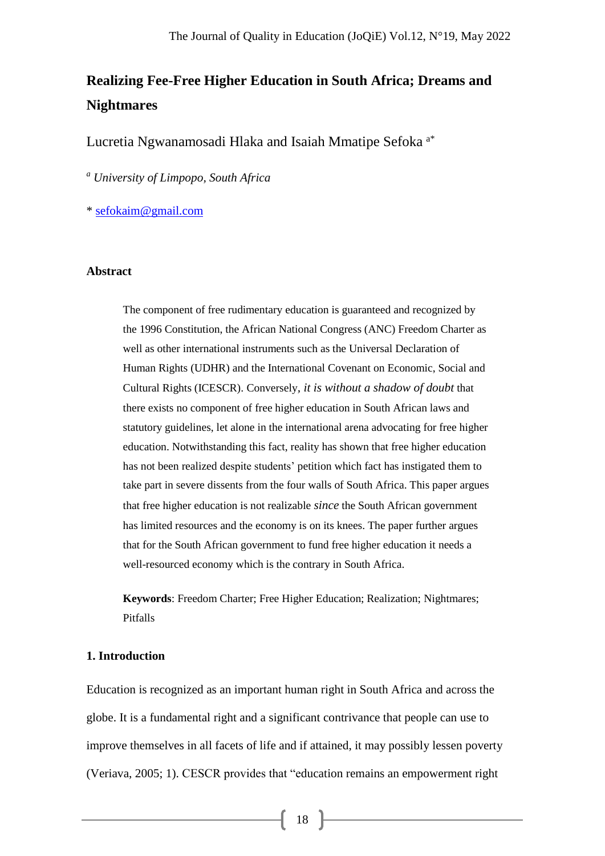# **Realizing Fee-Free Higher Education in South Africa; Dreams and Nightmares**

Lucretia Ngwanamosadi Hlaka and Isaiah Mmatipe Sefoka a\*

*<sup>a</sup> University of Limpopo, South Africa*

\* [sefokaim@gmail.com](mailto:sefokaim@gmail.com)

#### **Abstract**

The component of free rudimentary education is guaranteed and recognized by the 1996 Constitution, the African National Congress (ANC) Freedom Charter as well as other international instruments such as the Universal Declaration of Human Rights (UDHR) and the International Covenant on Economic, Social and Cultural Rights (ICESCR). Conversely*, it is without a shadow of doubt* that there exists no component of free higher education in South African laws and statutory guidelines, let alone in the international arena advocating for free higher education. Notwithstanding this fact, reality has shown that free higher education has not been realized despite students' petition which fact has instigated them to take part in severe dissents from the four walls of South Africa. This paper argues that free higher education is not realizable *since* the South African government has limited resources and the economy is on its knees. The paper further argues that for the South African government to fund free higher education it needs a well-resourced economy which is the contrary in South Africa.

**Keywords**: Freedom Charter; Free Higher Education; Realization; Nightmares; Pitfalls

## **1. Introduction**

Education is recognized as an important human right in South Africa and across the globe. It is a fundamental right and a significant contrivance that people can use to improve themselves in all facets of life and if attained, it may possibly lessen poverty (Veriava, 2005; 1). CESCR provides that "education remains an empowerment right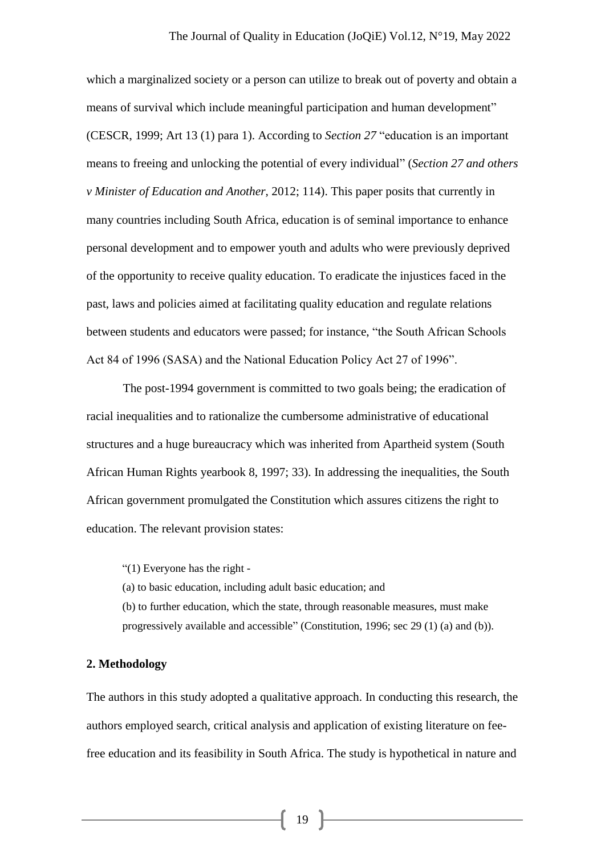which a marginalized society or a person can utilize to break out of poverty and obtain a means of survival which include meaningful participation and human development" (CESCR, 1999; Art 13 (1) para 1). According to *Section 27* "education is an important means to freeing and unlocking the potential of every individual" (*Section 27 and others v Minister of Education and Another*, 2012; 114). This paper posits that currently in many countries including South Africa, education is of seminal importance to enhance personal development and to empower youth and adults who were previously deprived of the opportunity to receive quality education. To eradicate the injustices faced in the past, laws and policies aimed at facilitating quality education and regulate relations between students and educators were passed; for instance, "the South African Schools Act 84 of 1996 (SASA) and the National Education Policy Act 27 of 1996".

The post-1994 government is committed to two goals being; the eradication of racial inequalities and to rationalize the cumbersome administrative of educational structures and a huge bureaucracy which was inherited from Apartheid system (South African Human Rights yearbook 8, 1997; 33). In addressing the inequalities, the South African government promulgated the Constitution which assures citizens the right to education. The relevant provision states:

"(1) Everyone has the right -

(a) to basic education, including adult basic education; and

(b) to further education, which the state, through reasonable measures, must make progressively available and accessible" (Constitution, 1996; sec 29 (1) (a) and (b)).

# **2. Methodology**

The authors in this study adopted a qualitative approach. In conducting this research, the authors employed search, critical analysis and application of existing literature on feefree education and its feasibility in South Africa. The study is hypothetical in nature and

 $19$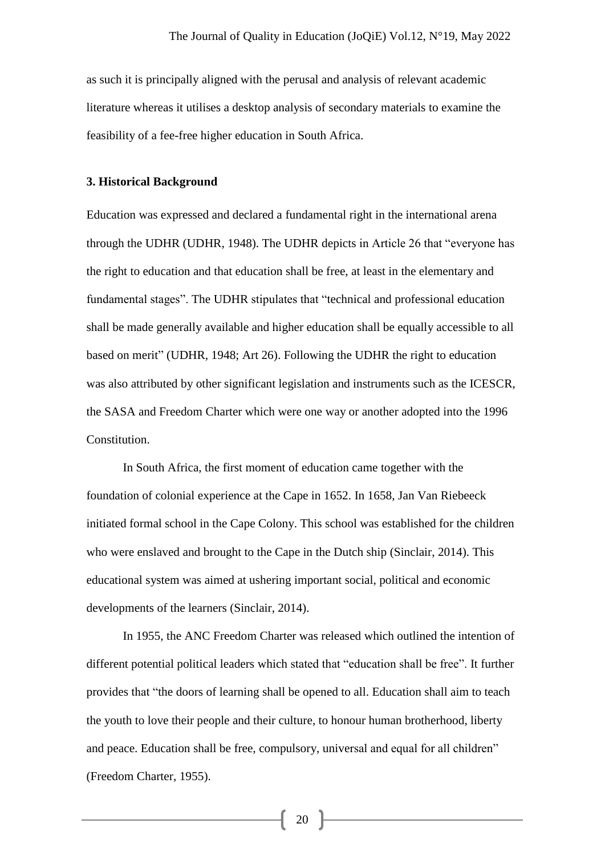as such it is principally aligned with the perusal and analysis of relevant academic literature whereas it utilises a desktop analysis of secondary materials to examine the feasibility of a fee-free higher education in South Africa.

#### **3. Historical Background**

Education was expressed and declared a fundamental right in the international arena through the UDHR (UDHR, 1948). The UDHR depicts in Article 26 that "everyone has the right to education and that education shall be free, at least in the elementary and fundamental stages". The UDHR stipulates that "technical and professional education shall be made generally available and higher education shall be equally accessible to all based on merit" (UDHR, 1948; Art 26). Following the UDHR the right to education was also attributed by other significant legislation and instruments such as the ICESCR, the SASA and Freedom Charter which were one way or another adopted into the 1996 Constitution.

In South Africa, the first moment of education came together with the foundation of colonial experience at the Cape in 1652. In 1658, Jan Van Riebeeck initiated formal school in the Cape Colony. This school was established for the children who were enslaved and brought to the Cape in the Dutch ship (Sinclair, 2014). This educational system was aimed at ushering important social, political and economic developments of the learners (Sinclair, 2014).

In 1955, the ANC Freedom Charter was released which outlined the intention of different potential political leaders which stated that "education shall be free". It further provides that "the doors of learning shall be opened to all. Education shall aim to teach the youth to love their people and their culture, to honour human brotherhood, liberty and peace. Education shall be free, compulsory, universal and equal for all children" (Freedom Charter, 1955).

20 |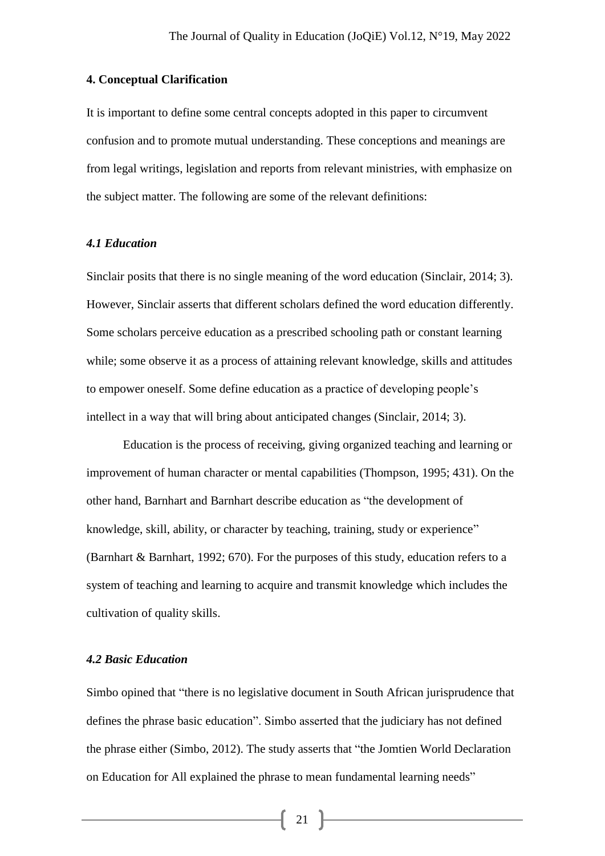# **4. Conceptual Clarification**

It is important to define some central concepts adopted in this paper to circumvent confusion and to promote mutual understanding. These conceptions and meanings are from legal writings, legislation and reports from relevant ministries, with emphasize on the subject matter. The following are some of the relevant definitions:

## *4.1 Education*

Sinclair posits that there is no single meaning of the word education (Sinclair, 2014; 3). However, Sinclair asserts that different scholars defined the word education differently. Some scholars perceive education as a prescribed schooling path or constant learning while; some observe it as a process of attaining relevant knowledge, skills and attitudes to empower oneself. Some define education as a practice of developing people's intellect in a way that will bring about anticipated changes (Sinclair, 2014; 3).

Education is the process of receiving, giving organized teaching and learning or improvement of human character or mental capabilities (Thompson, 1995; 431). On the other hand, Barnhart and Barnhart describe education as "the development of knowledge, skill, ability, or character by teaching, training, study or experience" (Barnhart & Barnhart, 1992; 670). For the purposes of this study, education refers to a system of teaching and learning to acquire and transmit knowledge which includes the cultivation of quality skills.

#### *4.2 Basic Education*

Simbo opined that "there is no legislative document in South African jurisprudence that defines the phrase basic education". Simbo asserted that the judiciary has not defined the phrase either (Simbo, 2012). The study asserts that "the Jomtien World Declaration on Education for All explained the phrase to mean fundamental learning needs"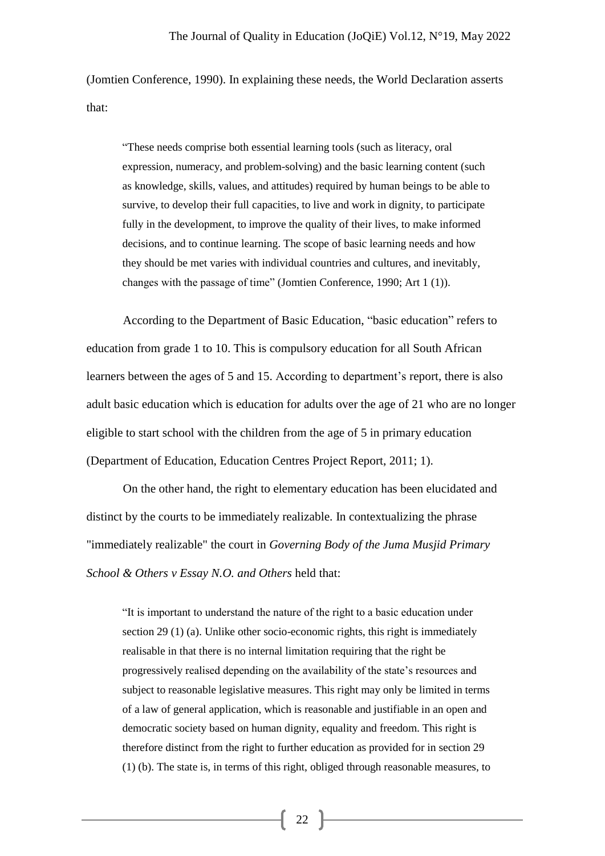(Jomtien Conference, 1990). In explaining these needs, the World Declaration asserts that:

"These needs comprise both essential learning tools (such as literacy, oral expression, numeracy, and problem-solving) and the basic learning content (such as knowledge, skills, values, and attitudes) required by human beings to be able to survive, to develop their full capacities, to live and work in dignity, to participate fully in the development, to improve the quality of their lives, to make informed decisions, and to continue learning. The scope of basic learning needs and how they should be met varies with individual countries and cultures, and inevitably, changes with the passage of time" (Jomtien Conference, 1990; Art 1 (1)).

According to the Department of Basic Education, "basic education" refers to education from grade 1 to 10. This is compulsory education for all South African learners between the ages of 5 and 15. According to department's report, there is also adult basic education which is education for adults over the age of 21 who are no longer eligible to start school with the children from the age of 5 in primary education (Department of Education, Education Centres Project Report, 2011; 1).

On the other hand, the right to elementary education has been elucidated and distinct by the courts to be immediately realizable. In contextualizing the phrase "immediately realizable" the court in *Governing Body of the Juma Musjid Primary School & Others v Essay N.O. and Others* held that:

"It is important to understand the nature of the right to a basic education under section 29 (1) (a). Unlike other socio-economic rights, this right is immediately realisable in that there is no internal limitation requiring that the right be progressively realised depending on the availability of the state's resources and subject to reasonable legislative measures. This right may only be limited in terms of a law of general application, which is reasonable and justifiable in an open and democratic society based on human dignity, equality and freedom. This right is therefore distinct from the right to further education as provided for in section 29 (1) (b). The state is, in terms of this right, obliged through reasonable measures, to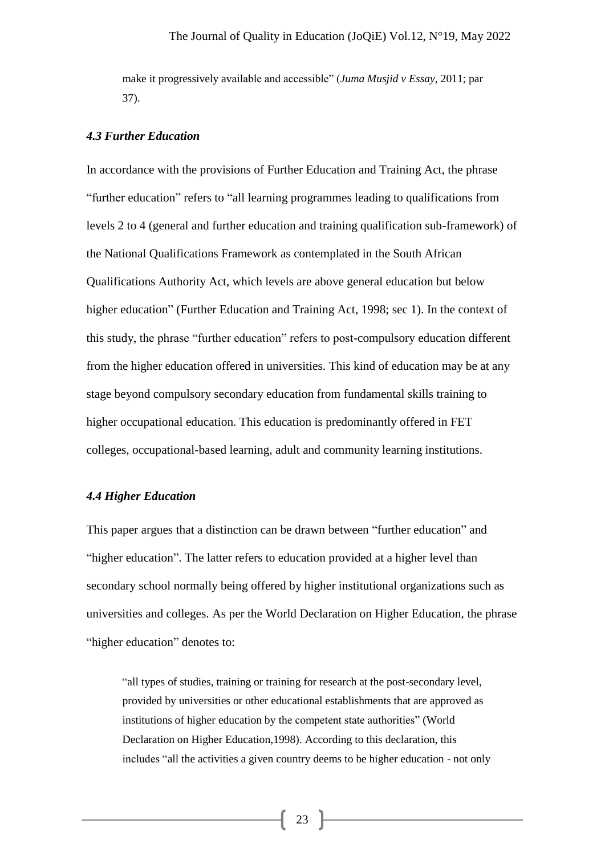make it progressively available and accessible" (*Juma Musjid v Essay*, 2011; par 37).

## *4.3 Further Education*

In accordance with the provisions of Further Education and Training Act, the phrase "further education" refers to "all learning programmes leading to qualifications from levels 2 to 4 (general and further education and training qualification sub-framework) of the National Qualifications Framework as contemplated in the South African Qualifications Authority Act, which levels are above general education but below higher education" (Further Education and Training Act, 1998; sec 1). In the context of this study, the phrase "further education" refers to post-compulsory education different from the higher education offered in universities. This kind of education may be at any stage beyond compulsory secondary education from fundamental skills training to higher occupational education. This education is predominantly offered in FET colleges, occupational-based learning, adult and community learning institutions.

## *4.4 Higher Education*

This paper argues that a distinction can be drawn between "further education" and "higher education". The latter refers to education provided at a higher level than secondary school normally being offered by higher institutional organizations such as universities and colleges. As per the World Declaration on Higher Education, the phrase "higher education" denotes to:

"all types of studies, training or training for research at the post-secondary level, provided by universities or other educational establishments that are approved as institutions of higher education by the competent state authorities" (World Declaration on Higher Education,1998). According to this declaration, this includes "all the activities a given country deems to be higher education - not only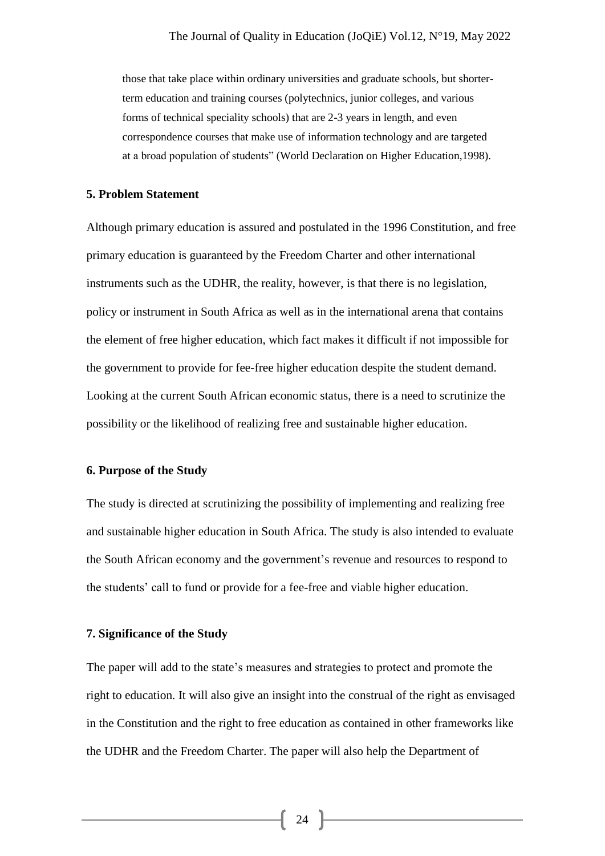those that take place within ordinary universities and graduate schools, but shorterterm education and training courses (polytechnics, junior colleges, and various forms of technical speciality schools) that are 2-3 years in length, and even correspondence courses that make use of information technology and are targeted at a broad population of students" (World Declaration on Higher Education,1998).

# **5. Problem Statement**

Although primary education is assured and postulated in the 1996 Constitution, and free primary education is guaranteed by the Freedom Charter and other international instruments such as the UDHR, the reality, however, is that there is no legislation, policy or instrument in South Africa as well as in the international arena that contains the element of free higher education, which fact makes it difficult if not impossible for the government to provide for fee-free higher education despite the student demand. Looking at the current South African economic status, there is a need to scrutinize the possibility or the likelihood of realizing free and sustainable higher education.

# **6. Purpose of the Study**

The study is directed at scrutinizing the possibility of implementing and realizing free and sustainable higher education in South Africa. The study is also intended to evaluate the South African economy and the government's revenue and resources to respond to the students' call to fund or provide for a fee-free and viable higher education.

## **7. Significance of the Study**

The paper will add to the state's measures and strategies to protect and promote the right to education. It will also give an insight into the construal of the right as envisaged in the Constitution and the right to free education as contained in other frameworks like the UDHR and the Freedom Charter. The paper will also help the Department of

 $\begin{bmatrix} 24 \end{bmatrix}$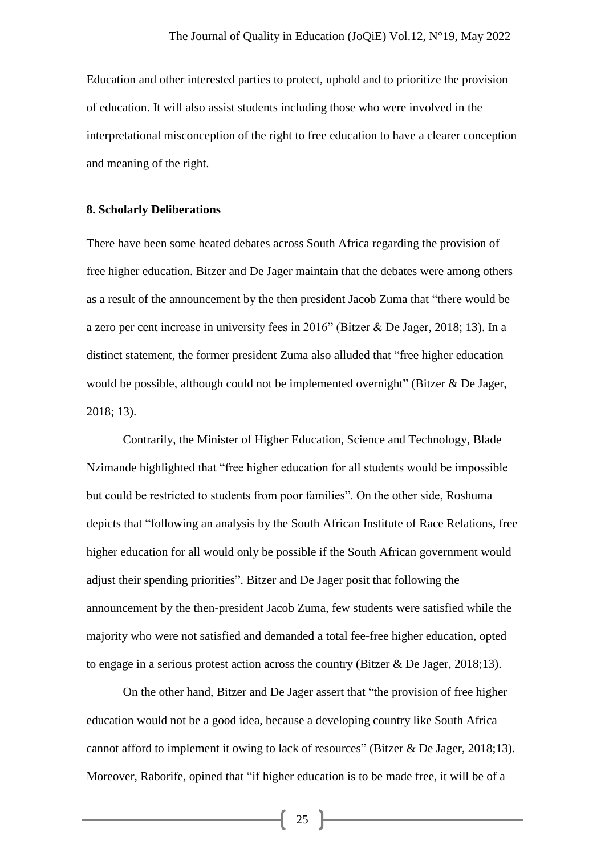Education and other interested parties to protect, uphold and to prioritize the provision of education. It will also assist students including those who were involved in the interpretational misconception of the right to free education to have a clearer conception and meaning of the right.

#### **8. Scholarly Deliberations**

There have been some heated debates across South Africa regarding the provision of free higher education. Bitzer and De Jager maintain that the debates were among others as a result of the announcement by the then president Jacob Zuma that "there would be a zero per cent increase in university fees in 2016" (Bitzer & De Jager, 2018; 13). In a distinct statement, the former president Zuma also alluded that "free higher education would be possible, although could not be implemented overnight" (Bitzer & De Jager, 2018; 13).

Contrarily, the Minister of Higher Education, Science and Technology, Blade Nzimande highlighted that "free higher education for all students would be impossible but could be restricted to students from poor families". On the other side, Roshuma depicts that "following an analysis by the South African Institute of Race Relations, free higher education for all would only be possible if the South African government would adjust their spending priorities". Bitzer and De Jager posit that following the announcement by the then-president Jacob Zuma, few students were satisfied while the majority who were not satisfied and demanded a total fee-free higher education, opted to engage in a serious protest action across the country (Bitzer  $\&$  De Jager, 2018;13).

On the other hand, Bitzer and De Jager assert that "the provision of free higher education would not be a good idea, because a developing country like South Africa cannot afford to implement it owing to lack of resources" (Bitzer & De Jager, 2018;13). Moreover, Raborife, opined that "if higher education is to be made free, it will be of a

25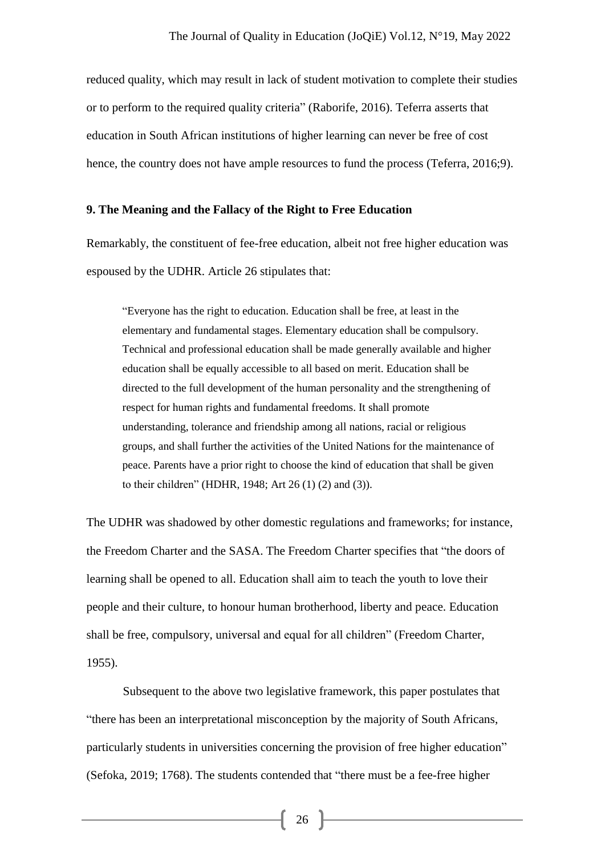reduced quality, which may result in lack of student motivation to complete their studies or to perform to the required quality criteria" (Raborife, 2016). Teferra asserts that education in South African institutions of higher learning can never be free of cost hence, the country does not have ample resources to fund the process (Teferra, 2016;9).

# **9. The Meaning and the Fallacy of the Right to Free Education**

Remarkably, the constituent of fee-free education, albeit not free higher education was espoused by the UDHR. Article 26 stipulates that:

"Everyone has the right to education. Education shall be free, at least in the elementary and fundamental stages. Elementary education shall be compulsory. Technical and professional education shall be made generally available and higher education shall be equally accessible to all based on merit. Education shall be directed to the full development of the human personality and the strengthening of respect for human rights and fundamental freedoms. It shall promote understanding, tolerance and friendship among all nations, racial or religious groups, and shall further the activities of the United Nations for the maintenance of peace. Parents have a prior right to choose the kind of education that shall be given to their children" (HDHR, 1948; Art 26 (1) (2) and (3)).

The UDHR was shadowed by other domestic regulations and frameworks; for instance, the Freedom Charter and the SASA. The Freedom Charter specifies that "the doors of learning shall be opened to all. Education shall aim to teach the youth to love their people and their culture, to honour human brotherhood, liberty and peace. Education shall be free, compulsory, universal and equal for all children" (Freedom Charter, 1955).

Subsequent to the above two legislative framework, this paper postulates that "there has been an interpretational misconception by the majority of South Africans, particularly students in universities concerning the provision of free higher education" (Sefoka, 2019; 1768). The students contended that "there must be a fee-free higher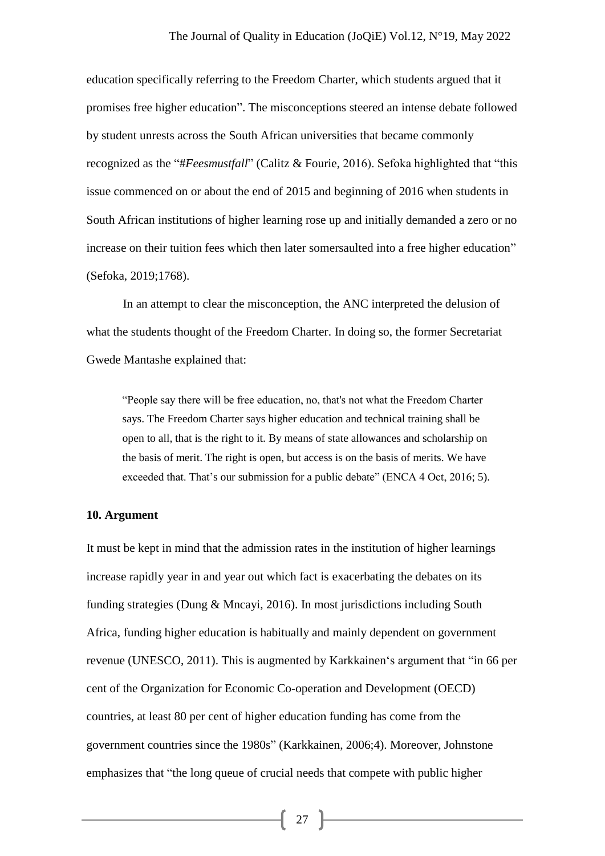education specifically referring to the Freedom Charter, which students argued that it promises free higher education". The misconceptions steered an intense debate followed by student unrests across the South African universities that became commonly recognized as the "#*Feesmustfall*" (Calitz & Fourie, 2016). Sefoka highlighted that "this issue commenced on or about the end of 2015 and beginning of 2016 when students in South African institutions of higher learning rose up and initially demanded a zero or no increase on their tuition fees which then later somersaulted into a free higher education" (Sefoka, 2019;1768).

In an attempt to clear the misconception, the ANC interpreted the delusion of what the students thought of the Freedom Charter. In doing so, the former Secretariat Gwede Mantashe explained that:

"People say there will be free education, no, that's not what the Freedom Charter says. The Freedom Charter says higher education and technical training shall be open to all, that is the right to it. By means of state allowances and scholarship on the basis of merit. The right is open, but access is on the basis of merits. We have exceeded that. That's our submission for a public debate" (ENCA 4 Oct, 2016; 5).

## **10. Argument**

It must be kept in mind that the admission rates in the institution of higher learnings increase rapidly year in and year out which fact is exacerbating the debates on its funding strategies (Dung & Mncayi, 2016). In most jurisdictions including South Africa, funding higher education is habitually and mainly dependent on government revenue (UNESCO, 2011). This is augmented by Karkkainen's argument that "in 66 per cent of the Organization for Economic Co-operation and Development (OECD) countries, at least 80 per cent of higher education funding has come from the government countries since the 1980s" (Karkkainen, 2006;4). Moreover, Johnstone emphasizes that "the long queue of crucial needs that compete with public higher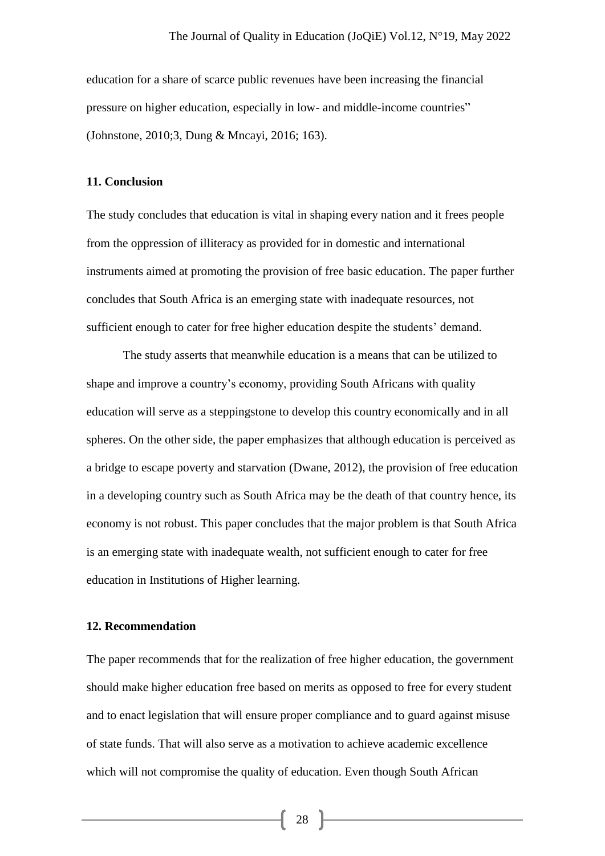education for a share of scarce public revenues have been increasing the financial pressure on higher education, especially in low- and middle-income countries" (Johnstone, 2010;3, Dung & Mncayi, 2016; 163).

#### **11. Conclusion**

The study concludes that education is vital in shaping every nation and it frees people from the oppression of illiteracy as provided for in domestic and international instruments aimed at promoting the provision of free basic education. The paper further concludes that South Africa is an emerging state with inadequate resources, not sufficient enough to cater for free higher education despite the students' demand.

The study asserts that meanwhile education is a means that can be utilized to shape and improve a country's economy, providing South Africans with quality education will serve as a steppingstone to develop this country economically and in all spheres. On the other side, the paper emphasizes that although education is perceived as a bridge to escape poverty and starvation (Dwane, 2012), the provision of free education in a developing country such as South Africa may be the death of that country hence, its economy is not robust. This paper concludes that the major problem is that South Africa is an emerging state with inadequate wealth, not sufficient enough to cater for free education in Institutions of Higher learning.

## **12. Recommendation**

The paper recommends that for the realization of free higher education, the government should make higher education free based on merits as opposed to free for every student and to enact legislation that will ensure proper compliance and to guard against misuse of state funds. That will also serve as a motivation to achieve academic excellence which will not compromise the quality of education. Even though South African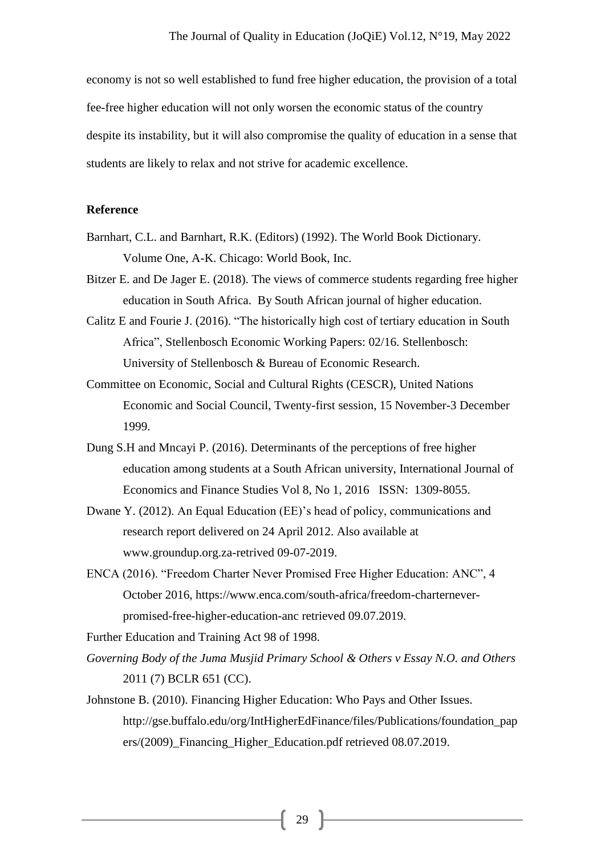economy is not so well established to fund free higher education, the provision of a total fee-free higher education will not only worsen the economic status of the country despite its instability, but it will also compromise the quality of education in a sense that students are likely to relax and not strive for academic excellence.

## **Reference**

- Barnhart, C.L. and Barnhart, R.K. (Editors) (1992). The World Book Dictionary. Volume One, A-K. Chicago: World Book, Inc.
- Bitzer E. and De Jager E. (2018). The views of commerce students regarding free higher education in South Africa. By South African journal of higher education.
- Calitz E and Fourie J. (2016). "The historically high cost of tertiary education in South Africa", Stellenbosch Economic Working Papers: 02/16. Stellenbosch: University of Stellenbosch & Bureau of Economic Research.
- Committee on Economic, Social and Cultural Rights (CESCR), United Nations Economic and Social Council, Twenty-first session, 15 November-3 December 1999.
- Dung S.H and Mncayi P. (2016). Determinants of the perceptions of free higher education among students at a South African university, International Journal of Economics and Finance Studies Vol 8, No 1, 2016 ISSN: 1309-8055.
- Dwane Y. (2012). An Equal Education (EE)'s head of policy, communications and research report delivered on 24 April 2012. Also available at www.groundup.org.za-retrived 09-07-2019.
- ENCA (2016). "Freedom Charter Never Promised Free Higher Education: ANC", 4 October 2016, https://www.enca.com/south-africa/freedom-charterneverpromised-free-higher-education-anc retrieved 09.07.2019.

Further Education and Training Act 98 of 1998.

- *Governing Body of the Juma Musjid Primary School & Others v Essay N.O. and Others* 2011 (7) BCLR 651 (CC).
- Johnstone B. (2010). Financing Higher Education: Who Pays and Other Issues. http://gse.buffalo.edu/org/IntHigherEdFinance/files/Publications/foundation\_pap ers/(2009)\_Financing\_Higher\_Education.pdf retrieved 08.07.2019.